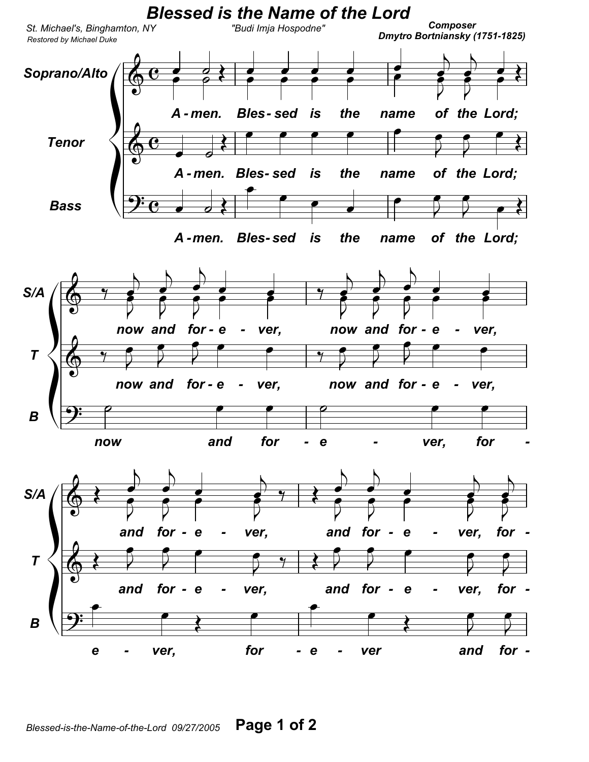